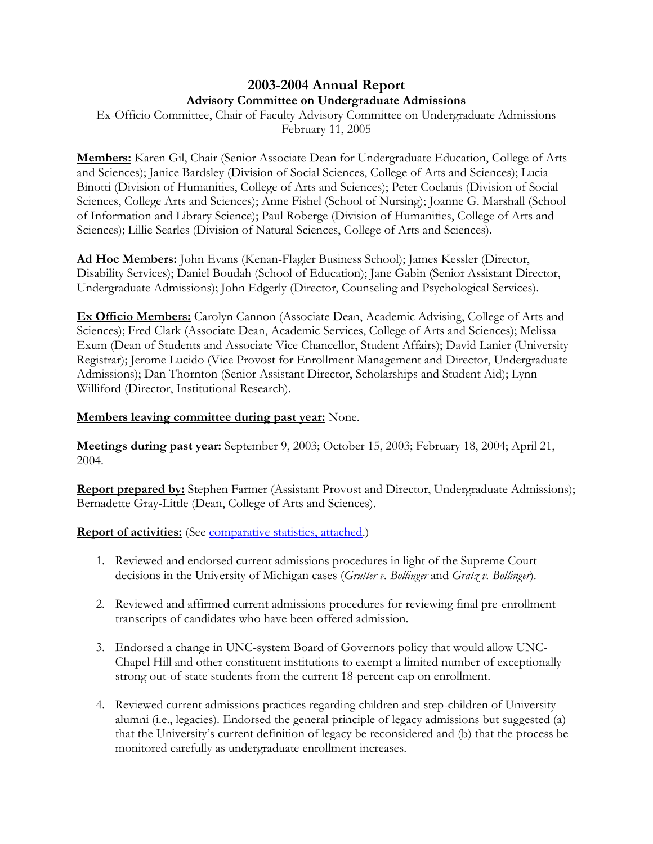## **2003-2004 Annual Report Advisory Committee on Undergraduate Admissions**

Ex-Officio Committee, Chair of Faculty Advisory Committee on Undergraduate Admissions February 11, 2005

**Members:** Karen Gil, Chair (Senior Associate Dean for Undergraduate Education, College of Arts and Sciences); Janice Bardsley (Division of Social Sciences, College of Arts and Sciences); Lucia Binotti (Division of Humanities, College of Arts and Sciences); Peter Coclanis (Division of Social Sciences, College Arts and Sciences); Anne Fishel (School of Nursing); Joanne G. Marshall (School of Information and Library Science); Paul Roberge (Division of Humanities, College of Arts and Sciences); Lillie Searles (Division of Natural Sciences, College of Arts and Sciences).

**Ad Hoc Members:** John Evans (Kenan-Flagler Business School); James Kessler (Director, Disability Services); Daniel Boudah (School of Education); Jane Gabin (Senior Assistant Director, Undergraduate Admissions); John Edgerly (Director, Counseling and Psychological Services).

**Ex Officio Members:** Carolyn Cannon (Associate Dean, Academic Advising, College of Arts and Sciences); Fred Clark (Associate Dean, Academic Services, College of Arts and Sciences); Melissa Exum (Dean of Students and Associate Vice Chancellor, Student Affairs); David Lanier (University Registrar); Jerome Lucido (Vice Provost for Enrollment Management and Director, Undergraduate Admissions); Dan Thornton (Senior Assistant Director, Scholarships and Student Aid); Lynn Williford (Director, Institutional Research).

## **Members leaving committee during past year:** None.

**Meetings during past year:** September 9, 2003; October 15, 2003; February 18, 2004; April 21, 2004.

**Report prepared by:** Stephen Farmer (Assistant Provost and Director, Undergraduate Admissions); Bernadette Gray-Little (Dean, College of Arts and Sciences).

**Report of activities:** (See [comparative statistics, attached.](http://www.unc.edu/faculty/faccoun/reports/2004-05/R05ADM2.htm))

- 1. Reviewed and endorsed current admissions procedures in light of the Supreme Court decisions in the University of Michigan cases (*Grutter v. Bollinger* and *Gratz v. Bollinger*).
- 2. Reviewed and affirmed current admissions procedures for reviewing final pre-enrollment transcripts of candidates who have been offered admission.
- 3. Endorsed a change in UNC-system Board of Governors policy that would allow UNC-Chapel Hill and other constituent institutions to exempt a limited number of exceptionally strong out-of-state students from the current 18-percent cap on enrollment.
- 4. Reviewed current admissions practices regarding children and step-children of University alumni (i.e., legacies). Endorsed the general principle of legacy admissions but suggested (a) that the University's current definition of legacy be reconsidered and (b) that the process be monitored carefully as undergraduate enrollment increases.